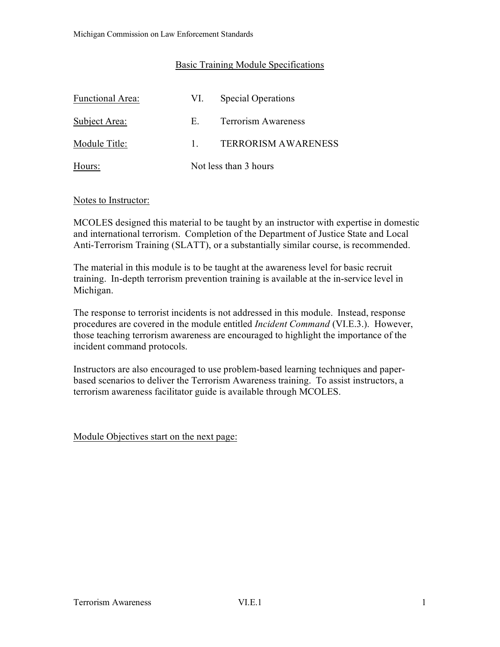# Basic Training Module Specifications

| <b>Functional Area:</b> | VI.                   | <b>Special Operations</b>  |
|-------------------------|-----------------------|----------------------------|
| Subject Area:           | H.                    | <b>Terrorism Awareness</b> |
| Module Title:           |                       | <b>TERRORISM AWARENESS</b> |
| Hours:                  | Not less than 3 hours |                            |

#### Notes to Instructor:

MCOLES designed this material to be taught by an instructor with expertise in domestic and international terrorism. Completion of the Department of Justice State and Local Anti-Terrorism Training (SLATT), or a substantially similar course, is recommended.

The material in this module is to be taught at the awareness level for basic recruit training. In-depth terrorism prevention training is available at the in-service level in Michigan.

The response to terrorist incidents is not addressed in this module. Instead, response procedures are covered in the module entitled *Incident Command* (VI.E.3.). However, those teaching terrorism awareness are encouraged to highlight the importance of the incident command protocols.

Instructors are also encouraged to use problem-based learning techniques and paperbased scenarios to deliver the Terrorism Awareness training. To assist instructors, a terrorism awareness facilitator guide is available through MCOLES.

Module Objectives start on the next page: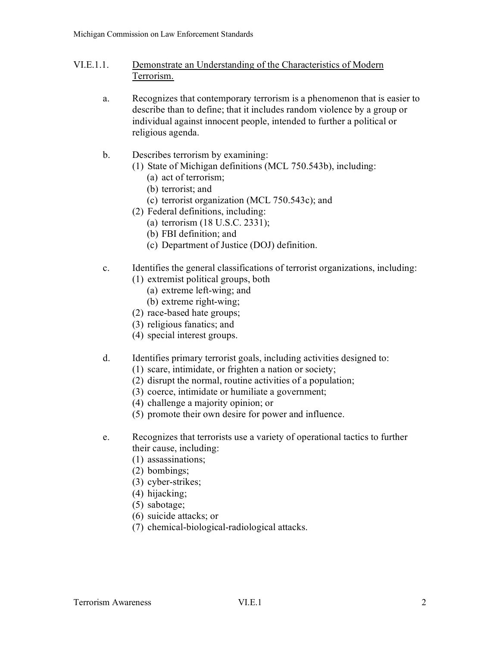- VI.E.1.1. Demonstrate an Understanding of the Characteristics of Modern Terrorism.
	- a. Recognizes that contemporary terrorism is a phenomenon that is easier to describe than to define; that it includes random violence by a group or individual against innocent people, intended to further a political or religious agenda.
	- b. Describes terrorism by examining:
		- (1) State of Michigan definitions (MCL 750.543b), including:
			- (a) act of terrorism;
			- (b) terrorist; and
			- (c) terrorist organization (MCL 750.543c); and
		- (2) Federal definitions, including:
			- (a) terrorism (18 U.S.C. 2331);
			- (b) FBI definition; and
			- (c) Department of Justice (DOJ) definition.
	- c. Identifies the general classifications of terrorist organizations, including:
		- (1) extremist political groups, both
			- (a) extreme left-wing; and
			- (b) extreme right-wing;
		- (2) race-based hate groups;
		- (3) religious fanatics; and
		- (4) special interest groups.
	- d. Identifies primary terrorist goals, including activities designed to:
		- (1) scare, intimidate, or frighten a nation or society;
		- (2) disrupt the normal, routine activities of a population;
		- (3) coerce, intimidate or humiliate a government;
		- (4) challenge a majority opinion; or
		- (5) promote their own desire for power and influence.
	- e. Recognizes that terrorists use a variety of operational tactics to further their cause, including:
		- (1) assassinations;
		- (2) bombings;
		- (3) cyber-strikes;
		- (4) hijacking;
		- (5) sabotage;
		- (6) suicide attacks; or
		- (7) chemical-biological-radiological attacks.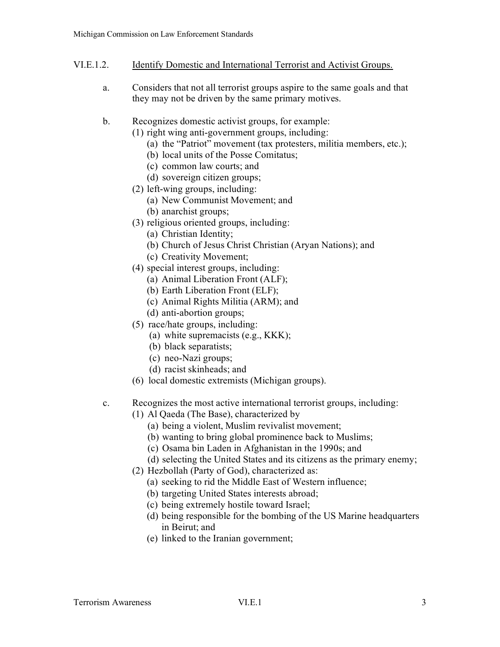## VI.E.1.2. Identify Domestic and International Terrorist and Activist Groups.

- a. Considers that not all terrorist groups aspire to the same goals and that they may not be driven by the same primary motives.
- b. Recognizes domestic activist groups, for example:
	- (1) right wing anti-government groups, including:
		- (a) the "Patriot" movement (tax protesters, militia members, etc.);
		- (b) local units of the Posse Comitatus;
		- (c) common law courts; and
		- (d) sovereign citizen groups;
	- (2) left-wing groups, including:
		- (a) New Communist Movement; and
		- (b) anarchist groups;
	- (3) religious oriented groups, including:
		- (a) Christian Identity;
		- (b) Church of Jesus Christ Christian (Aryan Nations); and
		- (c) Creativity Movement;
	- (4) special interest groups, including:
		- (a) Animal Liberation Front (ALF);
		- (b) Earth Liberation Front (ELF);
		- (c) Animal Rights Militia (ARM); and
		- (d) anti-abortion groups;
	- (5) race/hate groups, including:
		- (a) white supremacists (e.g., KKK);
		- (b) black separatists;
		- (c) neo-Nazi groups;
		- (d) racist skinheads; and
	- (6) local domestic extremists (Michigan groups).
- c. Recognizes the most active international terrorist groups, including:
	- (1) Al Qaeda (The Base), characterized by
		- (a) being a violent, Muslim revivalist movement;
		- (b) wanting to bring global prominence back to Muslims;
		- (c) Osama bin Laden in Afghanistan in the 1990s; and
		- (d) selecting the United States and its citizens as the primary enemy;
	- (2) Hezbollah (Party of God), characterized as:
		- (a) seeking to rid the Middle East of Western influence;
		- (b) targeting United States interests abroad;
		- (c) being extremely hostile toward Israel;
		- (d) being responsible for the bombing of the US Marine headquarters in Beirut; and
		- (e) linked to the Iranian government;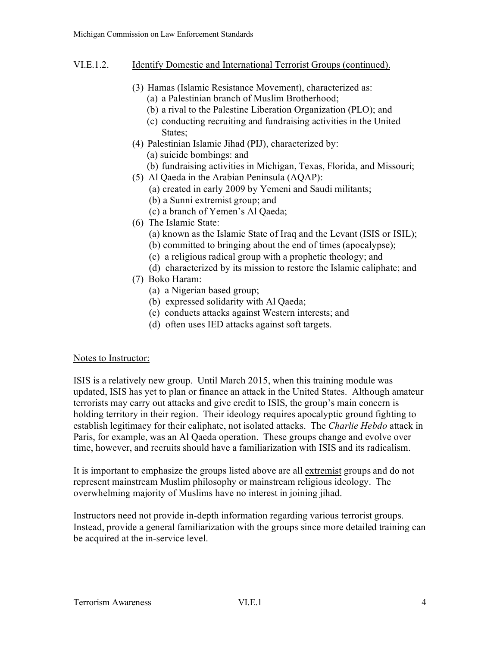- VI.E.1.2. Identify Domestic and International Terrorist Groups (continued).
	- (3) Hamas (Islamic Resistance Movement), characterized as:
		- (a) a Palestinian branch of Muslim Brotherhood;
		- (b) a rival to the Palestine Liberation Organization (PLO); and
		- (c) conducting recruiting and fundraising activities in the United States;
	- (4) Palestinian Islamic Jihad (PIJ), characterized by: (a) suicide bombings: and
		- (b) fundraising activities in Michigan, Texas, Florida, and Missouri;
	- (5) Al Qaeda in the Arabian Peninsula (AQAP):
		- (a) created in early 2009 by Yemeni and Saudi militants;
		- (b) a Sunni extremist group; and
		- (c) a branch of Yemen's Al Qaeda;
	- (6) The Islamic State:
		- (a) known as the Islamic State of Iraq and the Levant (ISIS or ISIL);
		- (b) committed to bringing about the end of times (apocalypse);
		- (c) a religious radical group with a prophetic theology; and
	- (d) characterized by its mission to restore the Islamic caliphate; and
	- (7) Boko Haram:
		- (a) a Nigerian based group;
		- (b) expressed solidarity with Al Qaeda;
		- (c) conducts attacks against Western interests; and
		- (d) often uses IED attacks against soft targets.

# Notes to Instructor:

ISIS is a relatively new group. Until March 2015, when this training module was updated, ISIS has yet to plan or finance an attack in the United States. Although amateur terrorists may carry out attacks and give credit to ISIS, the group's main concern is holding territory in their region. Their ideology requires apocalyptic ground fighting to establish legitimacy for their caliphate, not isolated attacks. The *Charlie Hebdo* attack in Paris, for example, was an Al Qaeda operation. These groups change and evolve over time, however, and recruits should have a familiarization with ISIS and its radicalism.

It is important to emphasize the groups listed above are all extremist groups and do not represent mainstream Muslim philosophy or mainstream religious ideology. The overwhelming majority of Muslims have no interest in joining jihad.

Instructors need not provide in-depth information regarding various terrorist groups. Instead, provide a general familiarization with the groups since more detailed training can be acquired at the in-service level.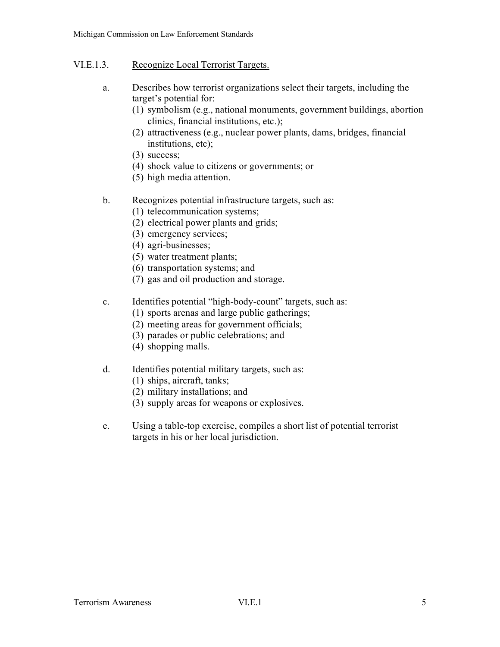# VI.E.1.3. Recognize Local Terrorist Targets.

- a. Describes how terrorist organizations select their targets, including the target's potential for:
	- (1) symbolism (e.g., national monuments, government buildings, abortion clinics, financial institutions, etc.);
	- (2) attractiveness (e.g., nuclear power plants, dams, bridges, financial institutions, etc);
	- (3) success;
	- (4) shock value to citizens or governments; or
	- (5) high media attention.
- b. Recognizes potential infrastructure targets, such as:
	- (1) telecommunication systems;
	- (2) electrical power plants and grids;
	- (3) emergency services;
	- (4) agri-businesses;
	- (5) water treatment plants;
	- (6) transportation systems; and
	- (7) gas and oil production and storage.
- c. Identifies potential "high-body-count" targets, such as:
	- (1) sports arenas and large public gatherings;
	- (2) meeting areas for government officials;
	- (3) parades or public celebrations; and
	- (4) shopping malls.
- d. Identifies potential military targets, such as:
	- (1) ships, aircraft, tanks;
	- (2) military installations; and
	- (3) supply areas for weapons or explosives.
- e. Using a table-top exercise, compiles a short list of potential terrorist targets in his or her local jurisdiction.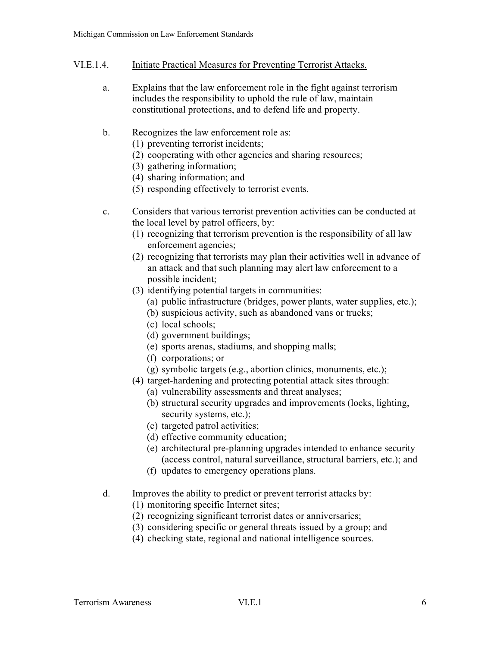### VI.E.1.4. Initiate Practical Measures for Preventing Terrorist Attacks.

- a. Explains that the law enforcement role in the fight against terrorism includes the responsibility to uphold the rule of law, maintain constitutional protections, and to defend life and property.
- b. Recognizes the law enforcement role as:
	- (1) preventing terrorist incidents;
	- (2) cooperating with other agencies and sharing resources;
	- (3) gathering information;
	- (4) sharing information; and
	- (5) responding effectively to terrorist events.
- c. Considers that various terrorist prevention activities can be conducted at the local level by patrol officers, by:
	- (1) recognizing that terrorism prevention is the responsibility of all law enforcement agencies;
	- (2) recognizing that terrorists may plan their activities well in advance of an attack and that such planning may alert law enforcement to a possible incident;
	- (3) identifying potential targets in communities:
		- (a) public infrastructure (bridges, power plants, water supplies, etc.);
		- (b) suspicious activity, such as abandoned vans or trucks;
		- (c) local schools;
		- (d) government buildings;
		- (e) sports arenas, stadiums, and shopping malls;
		- (f) corporations; or
		- (g) symbolic targets (e.g., abortion clinics, monuments, etc.);
	- (4) target-hardening and protecting potential attack sites through:
		- (a) vulnerability assessments and threat analyses;
		- (b) structural security upgrades and improvements (locks, lighting, security systems, etc.);
		- (c) targeted patrol activities;
		- (d) effective community education;
		- (e) architectural pre-planning upgrades intended to enhance security (access control, natural surveillance, structural barriers, etc.); and
		- (f) updates to emergency operations plans.
- d. Improves the ability to predict or prevent terrorist attacks by:
	- (1) monitoring specific Internet sites;
	- (2) recognizing significant terrorist dates or anniversaries;
	- (3) considering specific or general threats issued by a group; and
	- (4) checking state, regional and national intelligence sources.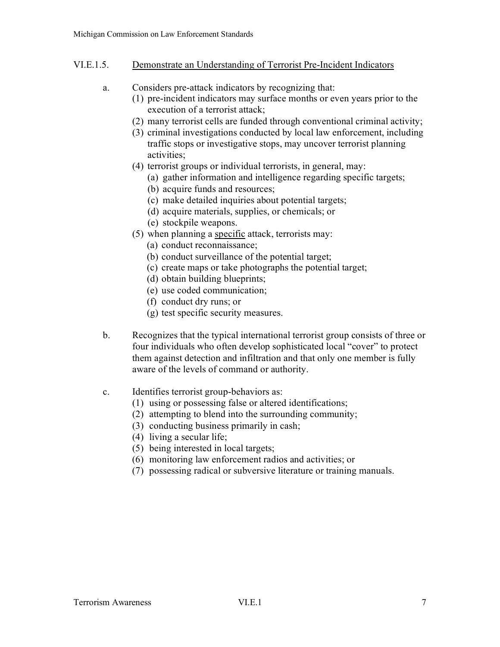# VI.E.1.5. Demonstrate an Understanding of Terrorist Pre-Incident Indicators

- a. Considers pre-attack indicators by recognizing that:
	- (1) pre-incident indicators may surface months or even years prior to the execution of a terrorist attack;
	- (2) many terrorist cells are funded through conventional criminal activity;
	- (3) criminal investigations conducted by local law enforcement, including traffic stops or investigative stops, may uncover terrorist planning activities;
	- (4) terrorist groups or individual terrorists, in general, may:
		- (a) gather information and intelligence regarding specific targets;
		- (b) acquire funds and resources;
		- (c) make detailed inquiries about potential targets;
		- (d) acquire materials, supplies, or chemicals; or
		- (e) stockpile weapons.
	- (5) when planning a specific attack, terrorists may:
		- (a) conduct reconnaissance;
		- (b) conduct surveillance of the potential target;
		- (c) create maps or take photographs the potential target;
		- (d) obtain building blueprints;
		- (e) use coded communication;
		- (f) conduct dry runs; or
		- (g) test specific security measures.
- b. Recognizes that the typical international terrorist group consists of three or four individuals who often develop sophisticated local "cover" to protect them against detection and infiltration and that only one member is fully aware of the levels of command or authority.
- c. Identifies terrorist group-behaviors as:
	- (1) using or possessing false or altered identifications;
	- (2) attempting to blend into the surrounding community;
	- (3) conducting business primarily in cash;
	- (4) living a secular life;
	- (5) being interested in local targets;
	- (6) monitoring law enforcement radios and activities; or
	- (7) possessing radical or subversive literature or training manuals.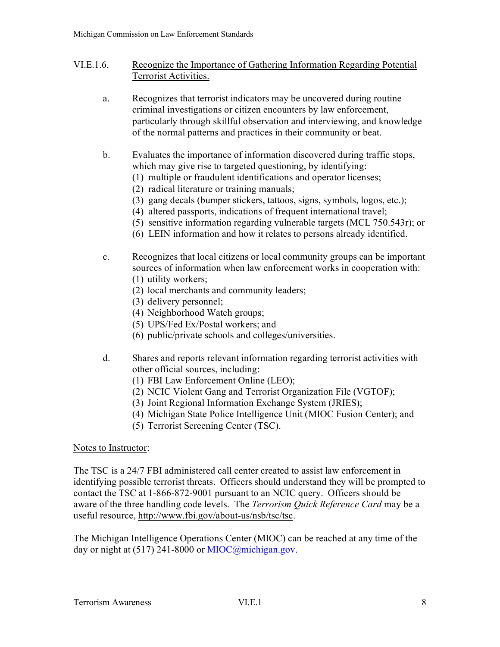- VI.E.1.6. Recognize the Importance of Gathering Information Regarding Potential Terrorist Activities.
	- a. Recognizes that terrorist indicators may be uncovered during routine criminal investigations or citizen encounters by law enforcement, particularly through skillful observation and interviewing, and knowledge of the normal patterns and practices in their community or beat.
	- b. Evaluates the importance of information discovered during traffic stops, which may give rise to targeted questioning, by identifying:
		- (1) multiple or fraudulent identifications and operator licenses;
		- (2) radical literature or training manuals;
		- (3) gang decals (bumper stickers, tattoos, signs, symbols, logos, etc.);
		- (4) altered passports, indications of frequent international travel;
		- (5) sensitive information regarding vulnerable targets (MCL 750.543r); or
		- (6) LEIN information and how it relates to persons already identified.
	- c. Recognizes that local citizens or local community groups can be important sources of information when law enforcement works in cooperation with: (1) utility workers;
		- (2) local merchants and community leaders;
		- (3) delivery personnel;
		- (4) Neighborhood Watch groups;
		- (5) UPS/Fed Ex/Postal workers; and
		- (6) public/private schools and colleges/universities.
	- d. Shares and reports relevant information regarding terrorist activities with other official sources, including:
		- (1) FBI Law Enforcement Online (LEO);
		- (2) NCIC Violent Gang and Terrorist Organization File (VGTOF);
		- (3) Joint Regional Information Exchange System (JRIES);
		- (4) Michigan State Police Intelligence Unit (MIOC Fusion Center); and
		- (5) Terrorist Screening Center (TSC).

#### Notes to Instructor:

The TSC is a 24/7 FBI administered call center created to assist law enforcement in identifying possible terrorist threats. Officers should understand they will be prompted to contact the TSC at 1-866-872-9001 pursuant to an NCIC query. Officers should be aware of the three handling code levels. The *Terrorism Quick Reference Card* may be a useful resource, [http://www.fbi.gov/about-us/nsb/tsc/tsc.](http://www.fbi.gov/about-us/nsb/tsc/tsc)

The Michigan Intelligence Operations Center (MIOC) can be reached at any time of the day or night at  $(517)$  241-8000 or [MIOC@michigan.gov.](mailto:MIOC@michigan.gov)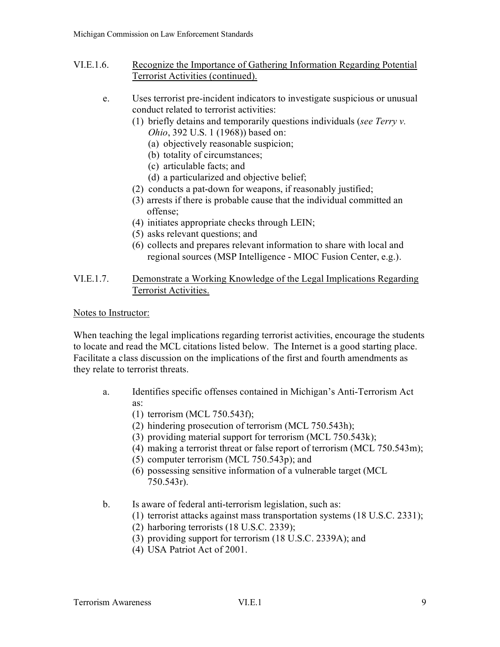- VI.E.1.6. Recognize the Importance of Gathering Information Regarding Potential Terrorist Activities (continued).
	- e. Uses terrorist pre-incident indicators to investigate suspicious or unusual conduct related to terrorist activities:
		- (1) briefly detains and temporarily questions individuals (*see Terry v. Ohio*, 392 U.S. 1 (1968)) based on:
			- (a) objectively reasonable suspicion;
			- (b) totality of circumstances;
			- (c) articulable facts; and
			- (d) a particularized and objective belief;
		- (2) conducts a pat-down for weapons, if reasonably justified;
		- (3) arrests if there is probable cause that the individual committed an offense;
		- (4) initiates appropriate checks through LEIN;
		- (5) asks relevant questions; and
		- (6) collects and prepares relevant information to share with local and regional sources (MSP Intelligence - MIOC Fusion Center, e.g.).

# VI.E.1.7. Demonstrate a Working Knowledge of the Legal Implications Regarding Terrorist Activities.

### Notes to Instructor:

When teaching the legal implications regarding terrorist activities, encourage the students to locate and read the MCL citations listed below. The Internet is a good starting place. Facilitate a class discussion on the implications of the first and fourth amendments as they relate to terrorist threats.

- a. Identifies specific offenses contained in Michigan's Anti-Terrorism Act as:
	- (1) terrorism (MCL 750.543f);
	- (2) hindering prosecution of terrorism (MCL 750.543h);
	- (3) providing material support for terrorism (MCL 750.543k);
	- (4) making a terrorist threat or false report of terrorism (MCL 750.543m);
	- (5) computer terrorism (MCL 750.543p); and
	- (6) possessing sensitive information of a vulnerable target (MCL 750.543r).
- b. Is aware of federal anti-terrorism legislation, such as:
	- (1) terrorist attacks against mass transportation systems (18 U.S.C. 2331);
	- (2) harboring terrorists (18 U.S.C. 2339);
	- (3) providing support for terrorism (18 U.S.C. 2339A); and
	- (4) USA Patriot Act of 2001.